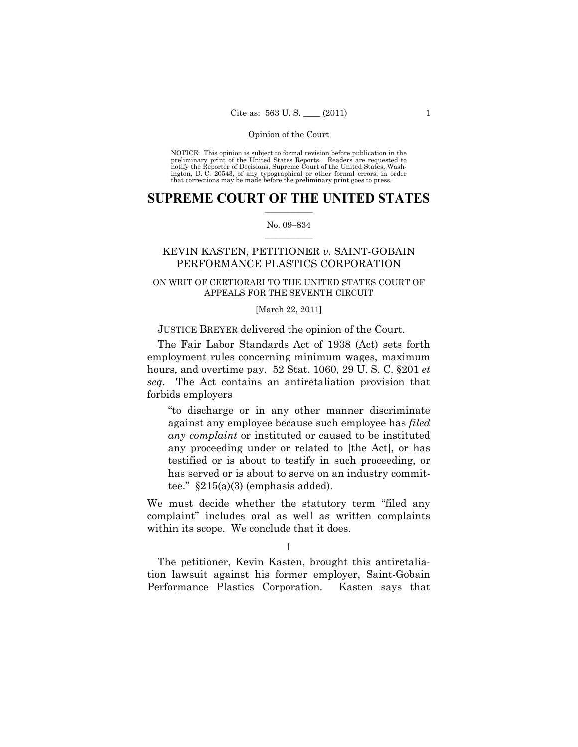NOTICE: This opinion is subject to formal revision before publication in the preliminary print of the United States Reports. Readers are requested to notify the Reporter of Decisions, Supreme Court of the United States, Washington, D. C. 20543, of any typographical or other formal errors, in order that corrections may be made before the preliminary print goes to press.

### **SUPREME COURT OF THE UNITED STATES**  $\frac{1}{2}$  , where  $\frac{1}{2}$

#### No. 09–834  $\frac{1}{2}$  ,  $\frac{1}{2}$  ,  $\frac{1}{2}$  ,  $\frac{1}{2}$  ,  $\frac{1}{2}$  ,  $\frac{1}{2}$

# KEVIN KASTEN, PETITIONER *v.* SAINT-GOBAIN PERFORMANCE PLASTICS CORPORATION

## ON WRIT OF CERTIORARI TO THE UNITED STATES COURT OF APPEALS FOR THE SEVENTH CIRCUIT

#### [March 22, 2011]

### JUSTICE BREYER delivered the opinion of the Court.

 The Fair Labor Standards Act of 1938 (Act) sets forth employment rules concerning minimum wages, maximum hours, and overtime pay. 52 Stat. 1060, 29 U. S. C. §201 *et seq*. The Act contains an antiretaliation provision that forbids employers

"to discharge or in any other manner discriminate against any employee because such employee has *filed any complaint* or instituted or caused to be instituted any proceeding under or related to [the Act], or has testified or is about to testify in such proceeding, or has served or is about to serve on an industry committee."  $§215(a)(3)$  (emphasis added).

We must decide whether the statutory term "filed any complaint" includes oral as well as written complaints within its scope. We conclude that it does.

 The petitioner, Kevin Kasten, brought this antiretaliation lawsuit against his former employer, Saint-Gobain Performance Plastics Corporation. Kasten says that

I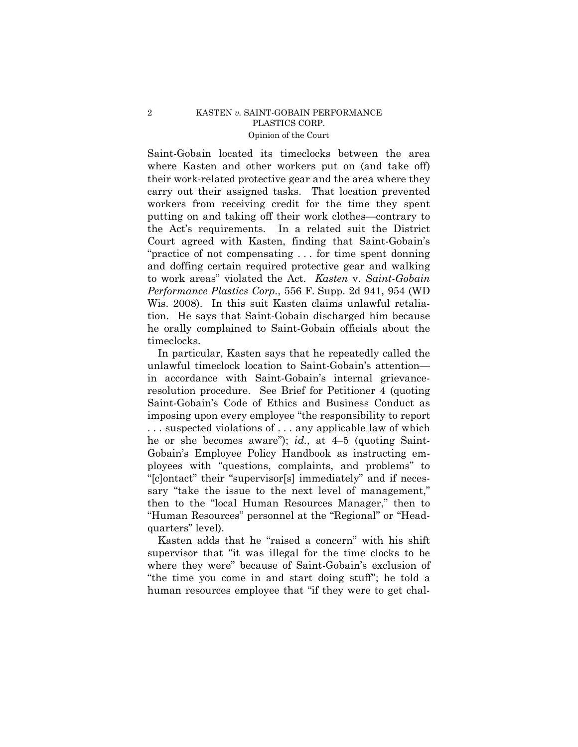Saint-Gobain located its timeclocks between the area where Kasten and other workers put on (and take off) their work-related protective gear and the area where they carry out their assigned tasks. That location prevented workers from receiving credit for the time they spent putting on and taking off their work clothes—contrary to the Act's requirements. In a related suit the District Court agreed with Kasten, finding that Saint-Gobain's "practice of not compensating . . . for time spent donning and doffing certain required protective gear and walking to work areas" violated the Act. *Kasten* v. *Saint-Gobain Performance Plastics Corp.*, 556 F. Supp. 2d 941, 954 (WD Wis. 2008). In this suit Kasten claims unlawful retaliation. He says that Saint-Gobain discharged him because he orally complained to Saint-Gobain officials about the timeclocks.

 In particular, Kasten says that he repeatedly called the unlawful timeclock location to Saint-Gobain's attention in accordance with Saint-Gobain's internal grievanceresolution procedure. See Brief for Petitioner 4 (quoting Saint-Gobain's Code of Ethics and Business Conduct as imposing upon every employee "the responsibility to report . . . suspected violations of . . . any applicable law of which he or she becomes aware"); *id.*, at 4–5 (quoting Saint-Gobain's Employee Policy Handbook as instructing employees with "questions, complaints, and problems" to "[c]ontact" their "supervisor[s] immediately" and if necessary "take the issue to the next level of management," then to the "local Human Resources Manager," then to "Human Resources" personnel at the "Regional" or "Headquarters" level).

 Kasten adds that he "raised a concern" with his shift supervisor that "it was illegal for the time clocks to be where they were" because of Saint-Gobain's exclusion of "the time you come in and start doing stuff"; he told a human resources employee that "if they were to get chal-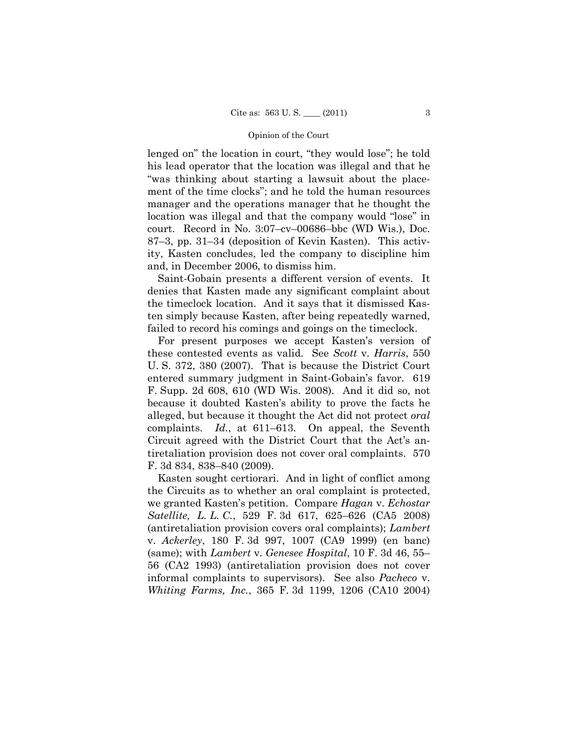lenged on" the location in court, "they would lose"; he told his lead operator that the location was illegal and that he "was thinking about starting a lawsuit about the placement of the time clocks"; and he told the human resources manager and the operations manager that he thought the location was illegal and that the company would "lose" in court. Record in No. 3:07–cv–00686–bbc (WD Wis.), Doc. 87–3, pp. 31–34 (deposition of Kevin Kasten). This activity, Kasten concludes, led the company to discipline him and, in December 2006, to dismiss him.

 Saint-Gobain presents a different version of events. It denies that Kasten made any significant complaint about the timeclock location. And it says that it dismissed Kasten simply because Kasten, after being repeatedly warned, failed to record his comings and goings on the timeclock.

 For present purposes we accept Kasten's version of these contested events as valid. See *Scott* v. *Harris*, 550 U. S. 372, 380 (2007). That is because the District Court entered summary judgment in Saint-Gobain's favor. 619 F. Supp. 2d 608, 610 (WD Wis. 2008). And it did so, not because it doubted Kasten's ability to prove the facts he alleged, but because it thought the Act did not protect *oral*  complaints. *Id.*, at 611–613. On appeal, the Seventh Circuit agreed with the District Court that the Act's antiretaliation provision does not cover oral complaints. 570 F. 3d 834, 838–840 (2009).

 Kasten sought certiorari. And in light of conflict among the Circuits as to whether an oral complaint is protected, we granted Kasten's petition. Compare *Hagan* v. *Echostar Satellite, L. L. C.*, 529 F. 3d 617, 625–626 (CA5 2008) (antiretaliation provision covers oral complaints); *Lambert* v. *Ackerley*, 180 F. 3d 997, 1007 (CA9 1999) (en banc) (same); with *Lambert* v. *Genesee Hospital*, 10 F. 3d 46, 55– 56 (CA2 1993) (antiretaliation provision does not cover informal complaints to supervisors). See also *Pacheco* v. *Whiting Farms, Inc.*, 365 F. 3d 1199, 1206 (CA10 2004)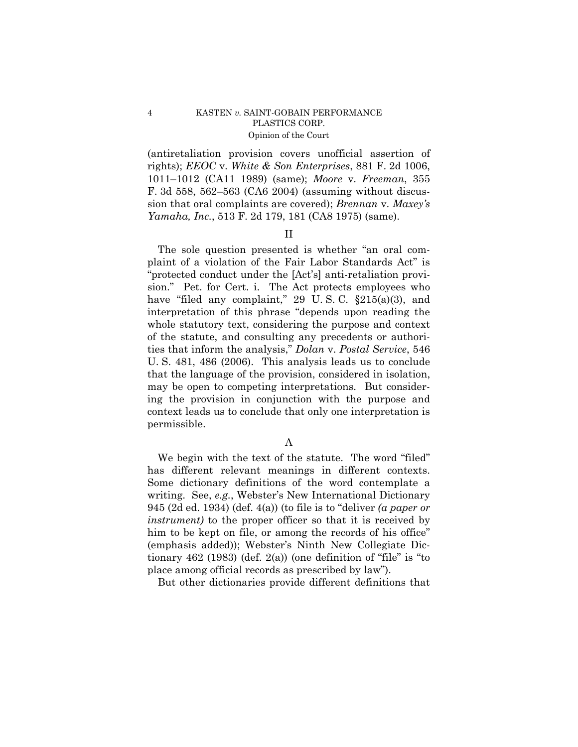(antiretaliation provision covers unofficial assertion of rights); *EEOC* v. *White & Son Enterprises*, 881 F. 2d 1006, 1011–1012 (CA11 1989) (same); *Moore* v. *Freeman*, 355 F. 3d 558, 562–563 (CA6 2004) (assuming without discussion that oral complaints are covered); *Brennan* v. *Maxey's Yamaha, Inc.*, 513 F. 2d 179, 181 (CA8 1975) (same).

### II

 The sole question presented is whether "an oral complaint of a violation of the Fair Labor Standards Act" is "protected conduct under the [Act's] anti-retaliation provision." Pet. for Cert. i. The Act protects employees who have "filed any complaint," 29 U.S.C.  $\S 215(a)(3)$ , and interpretation of this phrase "depends upon reading the whole statutory text, considering the purpose and context of the statute, and consulting any precedents or authorities that inform the analysis," *Dolan* v. *Postal Service*, 546 U. S. 481, 486 (2006). This analysis leads us to conclude that the language of the provision, considered in isolation, may be open to competing interpretations. But considering the provision in conjunction with the purpose and context leads us to conclude that only one interpretation is permissible.

A

 We begin with the text of the statute. The word "filed" has different relevant meanings in different contexts. Some dictionary definitions of the word contemplate a writing. See, *e.g.*, Webster's New International Dictionary 945 (2d ed. 1934) (def. 4(a)) (to file is to "deliver *(a paper or instrument)* to the proper officer so that it is received by him to be kept on file, or among the records of his office" (emphasis added)); Webster's Ninth New Collegiate Dictionary 462 (1983) (def. 2(a)) (one definition of "file" is "to place among official records as prescribed by law").

But other dictionaries provide different definitions that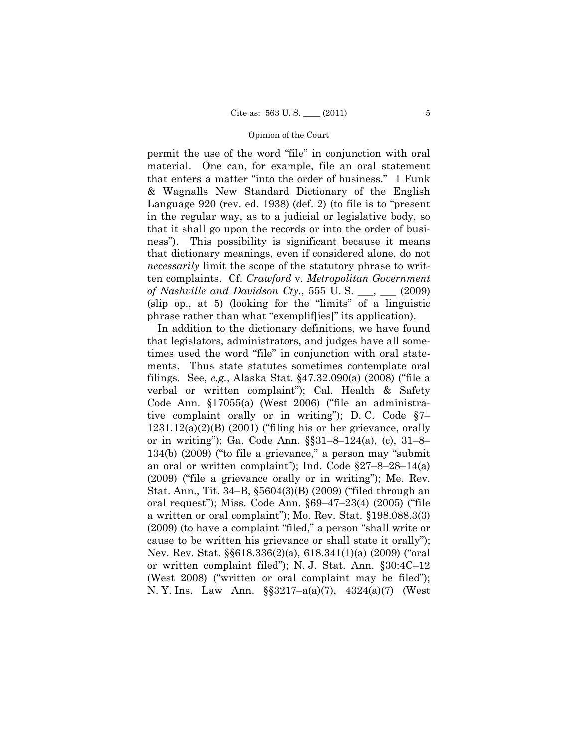permit the use of the word "file" in conjunction with oral material. One can, for example, file an oral statement that enters a matter "into the order of business." 1 Funk & Wagnalls New Standard Dictionary of the English Language 920 (rev. ed. 1938) (def. 2) (to file is to "present in the regular way, as to a judicial or legislative body, so that it shall go upon the records or into the order of business"). This possibility is significant because it means that dictionary meanings, even if considered alone, do not *necessarily* limit the scope of the statutory phrase to written complaints. Cf. *Crawford* v. *Metropolitan Government of Nashville and Davidson Cty.*, 555 U. S. \_\_\_, \_\_\_ (2009) (slip op., at 5) (looking for the "limits" of a linguistic phrase rather than what "exemplif[ies]" its application).

 In addition to the dictionary definitions, we have found that legislators, administrators, and judges have all sometimes used the word "file" in conjunction with oral statements. Thus state statutes sometimes contemplate oral filings. See, *e.g.*, Alaska Stat. §47.32.090(a) (2008) ("file a verbal or written complaint"); Cal. Health & Safety Code Ann. §17055(a) (West 2006) ("file an administrative complaint orally or in writing"); D. C. Code §7–  $1231.12(a)(2)(B)$  (2001) ("filing his or her grievance, orally or in writing"); Ga. Code Ann. §§31–8–124(a), (c), 31–8– 134(b) (2009) ("to file a grievance," a person may "submit an oral or written complaint"); Ind. Code §27–8–28–14(a) (2009) ("file a grievance orally or in writing"); Me. Rev. Stat. Ann., Tit. 34–B, §5604(3)(B) (2009) ("filed through an oral request"); Miss. Code Ann. §69–47–23(4) (2005) ("file a written or oral complaint"); Mo. Rev. Stat. §198.088.3(3) (2009) (to have a complaint "filed," a person "shall write or cause to be written his grievance or shall state it orally"); Nev. Rev. Stat. §§618.336(2)(a), 618.341(1)(a) (2009) ("oral or written complaint filed"); N. J. Stat. Ann. §30:4C–12 (West 2008) ("written or oral complaint may be filed"); N. Y. Ins. Law Ann. §§3217–a(a)(7), 4324(a)(7) (West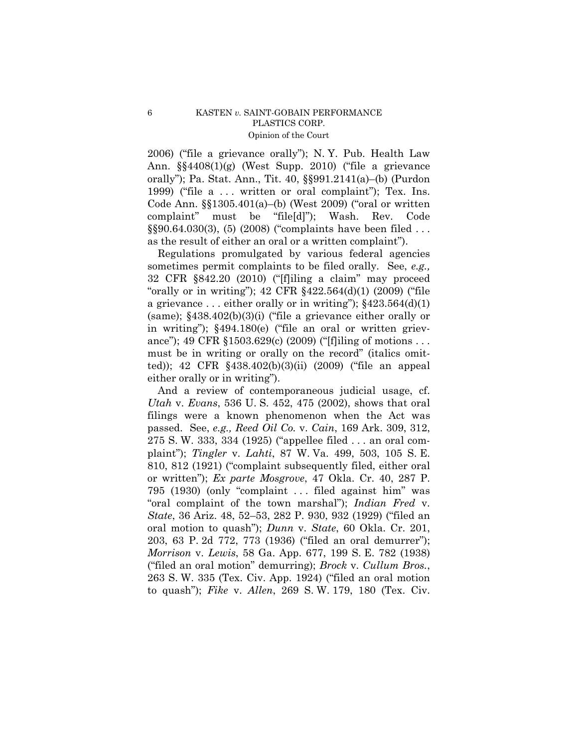2006) ("file a grievance orally"); N. Y. Pub. Health Law Ann. §§4408(1)(g) (West Supp. 2010) ("file a grievance orally"); Pa. Stat. Ann., Tit. 40, §§991.2141(a)–(b) (Purdon 1999) ("file a ... written or oral complaint"); Tex. Ins. Code Ann. §§1305.401(a)–(b) (West 2009) ("oral or written complaint" must be "file[d]"); Wash. Rev. Code §§90.64.030(3), (5) (2008) ("complaints have been filed . . . as the result of either an oral or a written complaint").

 Regulations promulgated by various federal agencies sometimes permit complaints to be filed orally. See, *e.g.,* 32 CFR §842.20 (2010) ("[f]iling a claim" may proceed "orally or in writing"); 42 CFR §422.564(d)(1) (2009) ("file a grievance ... either orally or in writing");  $§423.564(d)(1)$ (same); §438.402(b)(3)(i) ("file a grievance either orally or in writing"); §494.180(e) ("file an oral or written grievance"); 49 CFR §1503.629(c) (2009) ("[f]iling of motions . . . must be in writing or orally on the record" (italics omitted)); 42 CFR §438.402(b)(3)(ii) (2009) ("file an appeal either orally or in writing").

 And a review of contemporaneous judicial usage, cf. *Utah* v. *Evans*, 536 U. S. 452, 475 (2002), shows that oral filings were a known phenomenon when the Act was passed. See, *e.g., Reed Oil Co.* v. *Cain*, 169 Ark. 309, 312, 275 S. W. 333, 334 (1925) ("appellee filed . . . an oral complaint"); *Tingler* v. *Lahti*, 87 W. Va. 499, 503, 105 S. E. 810, 812 (1921) ("complaint subsequently filed, either oral or written"); *Ex parte Mosgrove*, 47 Okla. Cr. 40, 287 P. 795 (1930) (only "complaint . . . filed against him" was "oral complaint of the town marshal"); *Indian Fred* v. *State*, 36 Ariz. 48, 52–53, 282 P. 930, 932 (1929) ("filed an oral motion to quash"); *Dunn* v. *State*, 60 Okla. Cr. 201, 203, 63 P. 2d 772, 773 (1936) ("filed an oral demurrer"); *Morrison* v. *Lewis*, 58 Ga. App. 677, 199 S. E. 782 (1938) ("filed an oral motion" demurring); *Brock* v. *Cullum Bros.*, 263 S. W. 335 (Tex. Civ. App. 1924) ("filed an oral motion to quash"); *Fike* v. *Allen*, 269 S. W. 179, 180 (Tex. Civ.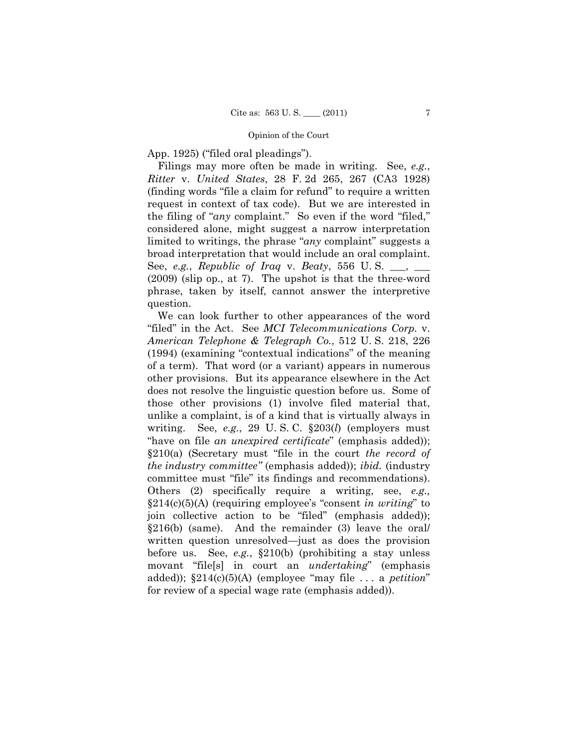App. 1925) ("filed oral pleadings").

 Filings may more often be made in writing. See, *e.g.*, *Ritter* v. *United States*, 28 F. 2d 265, 267 (CA3 1928) (finding words "file a claim for refund" to require a written request in context of tax code). But we are interested in the filing of "*any* complaint." So even if the word "filed," considered alone, might suggest a narrow interpretation limited to writings, the phrase "*any* complaint" suggests a broad interpretation that would include an oral complaint. See, *e.g.*, *Republic of Iraq* v. *Beaty*, 556 U. S. \_\_\_, \_\_\_ (2009) (slip op., at 7). The upshot is that the three-word phrase, taken by itself, cannot answer the interpretive question.

 We can look further to other appearances of the word "filed" in the Act. See *MCI Telecommunications Corp.* v. *American Telephone & Telegraph Co.*, 512 U. S. 218, 226 (1994) (examining "contextual indications" of the meaning of a term). That word (or a variant) appears in numerous other provisions. But its appearance elsewhere in the Act does not resolve the linguistic question before us. Some of those other provisions (1) involve filed material that, unlike a complaint, is of a kind that is virtually always in writing. See, *e.g.*, 29 U. S. C. §203(*l*) (employers must "have on file *an unexpired certificate*" (emphasis added)); §210(a) (Secretary must "file in the court *the record of the industry committee"* (emphasis added)); *ibid.* (industry committee must "file" its findings and recommendations). Others (2) specifically require a writing, see, *e.g.,* §214(c)(5)(A) (requiring employee's "consent *in writing*" to join collective action to be "filed" (emphasis added)); §216(b) (same). And the remainder (3) leave the oral/ written question unresolved—just as does the provision before us. See, *e.g.*, §210(b) (prohibiting a stay unless movant "file[s] in court an *undertaking*" (emphasis added)); §214(c)(5)(A) (employee "may file . . . a *petition*" for review of a special wage rate (emphasis added)).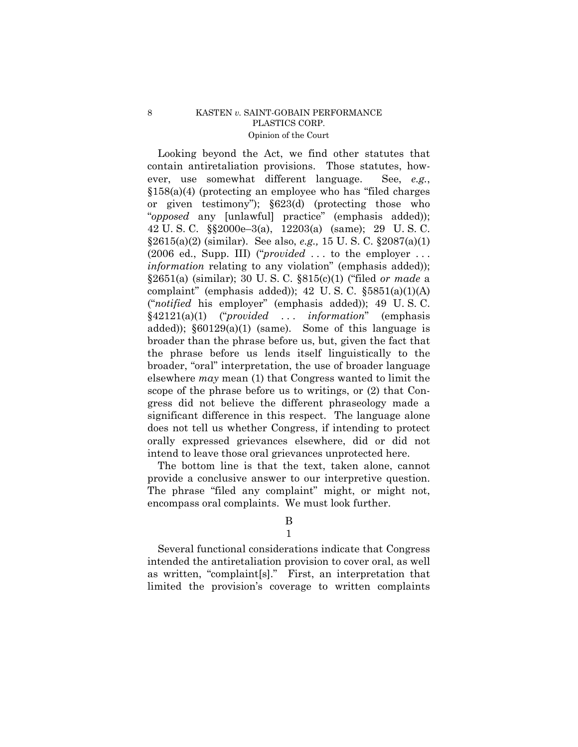Looking beyond the Act, we find other statutes that contain antiretaliation provisions. Those statutes, however, use somewhat different language. See, *e.g.*, §158(a)(4) (protecting an employee who has "filed charges or given testimony"); §623(d) (protecting those who "*opposed* any [unlawful] practice" (emphasis added)); 42 U. S. C. §§2000e–3(a), 12203(a) (same); 29 U. S. C. §2615(a)(2) (similar). See also, *e.g.,* 15 U. S. C. §2087(a)(1) (2006 ed., Supp. III) ("*provided* . . . to the employer . . . *information* relating to any violation" (emphasis added)); §2651(a) (similar); 30 U. S. C. §815(c)(1) ("filed *or made* a complaint" (emphasis added)); 42 U.S.C.  $$5851(a)(1)(A)$ ("*notified* his employer" (emphasis added)); 49 U. S. C. §42121(a)(1) ("*provided* . . . *information*" (emphasis added));  $\S60129(a)(1)$  (same). Some of this language is broader than the phrase before us, but, given the fact that the phrase before us lends itself linguistically to the broader, "oral" interpretation, the use of broader language elsewhere *may* mean (1) that Congress wanted to limit the scope of the phrase before us to writings, or (2) that Congress did not believe the different phraseology made a significant difference in this respect. The language alone does not tell us whether Congress, if intending to protect orally expressed grievances elsewhere, did or did not intend to leave those oral grievances unprotected here.

 The bottom line is that the text, taken alone, cannot provide a conclusive answer to our interpretive question. The phrase "filed any complaint" might, or might not, encompass oral complaints. We must look further.

B

1

 Several functional considerations indicate that Congress intended the antiretaliation provision to cover oral, as well as written, "complaint[s]." First, an interpretation that limited the provision's coverage to written complaints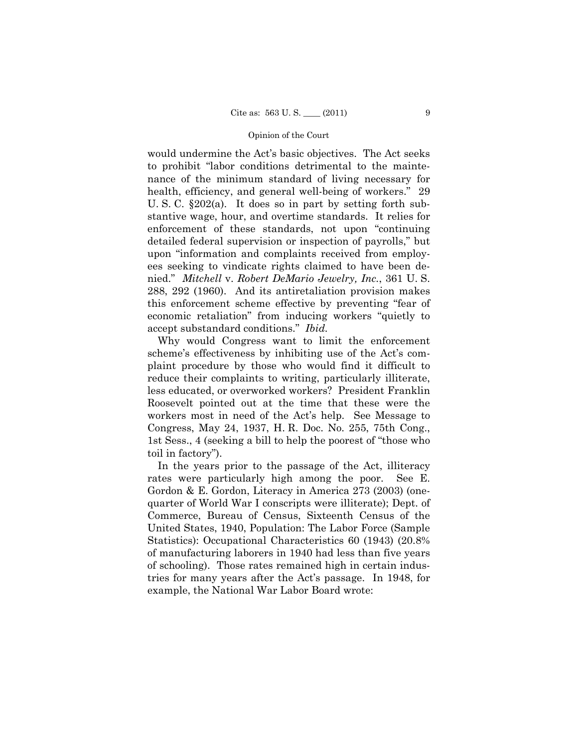would undermine the Act's basic objectives. The Act seeks to prohibit "labor conditions detrimental to the maintenance of the minimum standard of living necessary for health, efficiency, and general well-being of workers." 29 U. S. C. §202(a). It does so in part by setting forth substantive wage, hour, and overtime standards. It relies for enforcement of these standards, not upon "continuing detailed federal supervision or inspection of payrolls," but upon "information and complaints received from employees seeking to vindicate rights claimed to have been denied." *Mitchell* v. *Robert DeMario Jewelry, Inc.*, 361 U. S. 288, 292 (1960). And its antiretaliation provision makes this enforcement scheme effective by preventing "fear of economic retaliation" from inducing workers "quietly to accept substandard conditions." *Ibid.*

 Why would Congress want to limit the enforcement scheme's effectiveness by inhibiting use of the Act's complaint procedure by those who would find it difficult to reduce their complaints to writing, particularly illiterate, less educated, or overworked workers? President Franklin Roosevelt pointed out at the time that these were the workers most in need of the Act's help. See Message to Congress, May 24, 1937, H. R. Doc. No. 255, 75th Cong., 1st Sess., 4 (seeking a bill to help the poorest of "those who toil in factory").

 In the years prior to the passage of the Act, illiteracy rates were particularly high among the poor. See E. Gordon & E. Gordon, Literacy in America 273 (2003) (onequarter of World War I conscripts were illiterate); Dept. of Commerce, Bureau of Census, Sixteenth Census of the United States, 1940, Population: The Labor Force (Sample Statistics): Occupational Characteristics 60 (1943) (20.8% of manufacturing laborers in 1940 had less than five years of schooling). Those rates remained high in certain industries for many years after the Act's passage. In 1948, for example, the National War Labor Board wrote: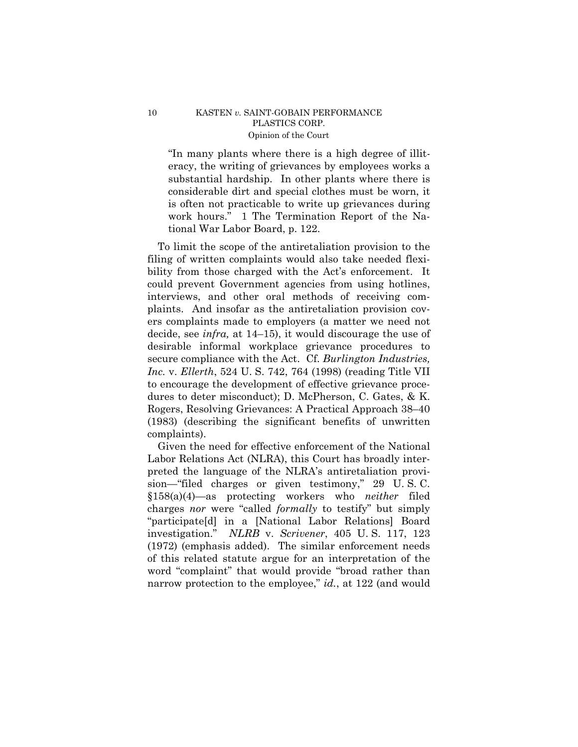"In many plants where there is a high degree of illiteracy, the writing of grievances by employees works a substantial hardship. In other plants where there is considerable dirt and special clothes must be worn, it is often not practicable to write up grievances during work hours." 1 The Termination Report of the National War Labor Board, p. 122.

 To limit the scope of the antiretaliation provision to the filing of written complaints would also take needed flexibility from those charged with the Act's enforcement. It could prevent Government agencies from using hotlines, interviews, and other oral methods of receiving complaints. And insofar as the antiretaliation provision covers complaints made to employers (a matter we need not decide, see *infra,* at 14–15), it would discourage the use of desirable informal workplace grievance procedures to secure compliance with the Act. Cf. *Burlington Industries, Inc.* v. *Ellerth*, 524 U. S. 742, 764 (1998) (reading Title VII to encourage the development of effective grievance procedures to deter misconduct); D. McPherson, C. Gates, & K. Rogers, Resolving Grievances: A Practical Approach 38–40 (1983) (describing the significant benefits of unwritten complaints).

 Given the need for effective enforcement of the National Labor Relations Act (NLRA), this Court has broadly interpreted the language of the NLRA's antiretaliation provision—"filed charges or given testimony," 29 U. S. C. §158(a)(4)—as protecting workers who *neither* filed charges *nor* were "called *formally* to testify" but simply "participate[d] in a [National Labor Relations] Board investigation." *NLRB* v. *Scrivener*, 405 U. S. 117, 123 (1972) (emphasis added). The similar enforcement needs of this related statute argue for an interpretation of the word "complaint" that would provide "broad rather than narrow protection to the employee," *id.*, at 122 (and would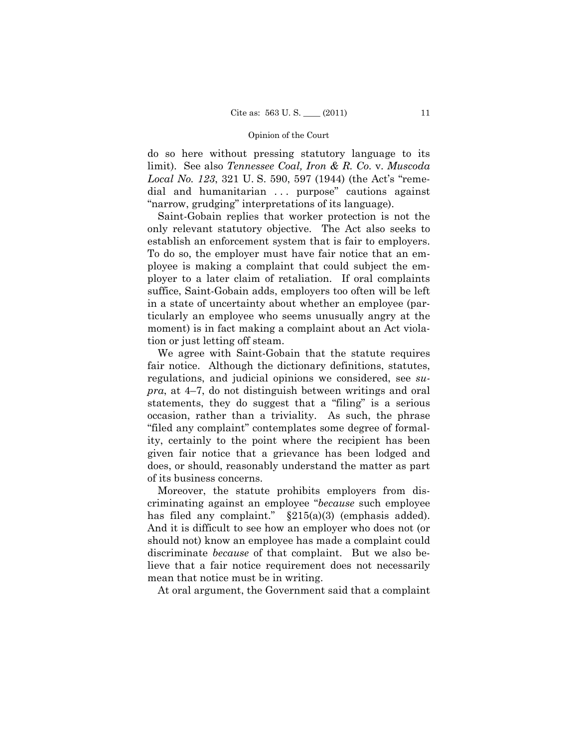do so here without pressing statutory language to its limit). See also *Tennessee Coal, Iron & R. Co.* v. *Muscoda Local No. 123*, 321 U. S. 590, 597 (1944) (the Act's "remedial and humanitarian ... purpose" cautions against "narrow, grudging" interpretations of its language).

 Saint-Gobain replies that worker protection is not the only relevant statutory objective. The Act also seeks to establish an enforcement system that is fair to employers. To do so, the employer must have fair notice that an employee is making a complaint that could subject the employer to a later claim of retaliation. If oral complaints suffice, Saint-Gobain adds, employers too often will be left in a state of uncertainty about whether an employee (particularly an employee who seems unusually angry at the moment) is in fact making a complaint about an Act violation or just letting off steam.

 We agree with Saint-Gobain that the statute requires fair notice. Although the dictionary definitions, statutes, regulations, and judicial opinions we considered, see *supra*, at 4–7, do not distinguish between writings and oral statements, they do suggest that a "filing" is a serious occasion, rather than a triviality. As such, the phrase "filed any complaint" contemplates some degree of formality, certainly to the point where the recipient has been given fair notice that a grievance has been lodged and does, or should, reasonably understand the matter as part of its business concerns.

 Moreover, the statute prohibits employers from discriminating against an employee "*because* such employee has filed any complaint." §215(a)(3) (emphasis added). And it is difficult to see how an employer who does not (or should not) know an employee has made a complaint could discriminate *because* of that complaint. But we also believe that a fair notice requirement does not necessarily mean that notice must be in writing.

At oral argument, the Government said that a complaint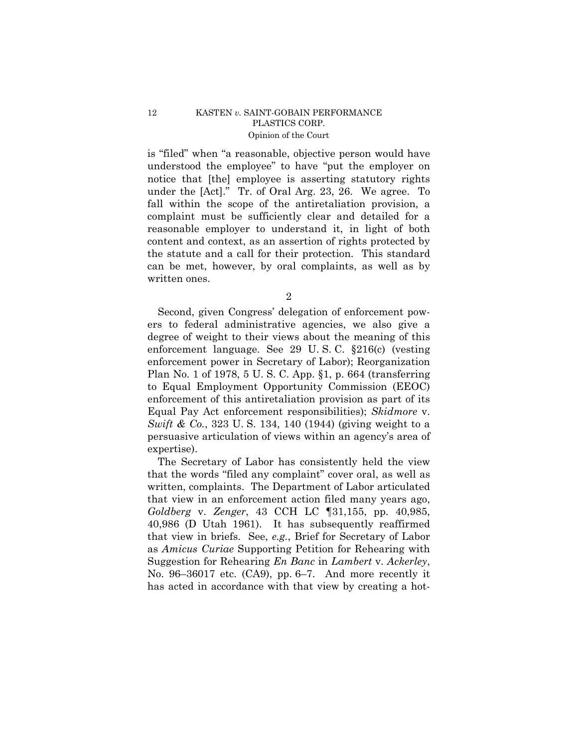is "filed" when "a reasonable, objective person would have understood the employee" to have "put the employer on notice that [the] employee is asserting statutory rights under the [Act]." Tr. of Oral Arg. 23, 26. We agree. To fall within the scope of the antiretaliation provision, a complaint must be sufficiently clear and detailed for a reasonable employer to understand it, in light of both content and context, as an assertion of rights protected by the statute and a call for their protection. This standard can be met, however, by oral complaints, as well as by written ones.

2

 Second, given Congress' delegation of enforcement powers to federal administrative agencies, we also give a degree of weight to their views about the meaning of this enforcement language. See 29 U. S. C. §216(c) (vesting enforcement power in Secretary of Labor); Reorganization Plan No. 1 of 1978, 5 U. S. C. App. §1, p. 664 (transferring to Equal Employment Opportunity Commission (EEOC) enforcement of this antiretaliation provision as part of its Equal Pay Act enforcement responsibilities); *Skidmore* v. *Swift & Co.*, 323 U. S. 134, 140 (1944) (giving weight to a persuasive articulation of views within an agency's area of expertise).

 The Secretary of Labor has consistently held the view that the words "filed any complaint" cover oral, as well as written, complaints. The Department of Labor articulated that view in an enforcement action filed many years ago, *Goldberg* v. *Zenger*, 43 CCH LC ¶31,155, pp. 40,985, 40,986 (D Utah 1961). It has subsequently reaffirmed that view in briefs. See, *e.g.*, Brief for Secretary of Labor as *Amicus Curiae* Supporting Petition for Rehearing with Suggestion for Rehearing *En Banc* in *Lambert* v. *Ackerley*, No. 96–36017 etc. (CA9), pp. 6–7. And more recently it has acted in accordance with that view by creating a hot-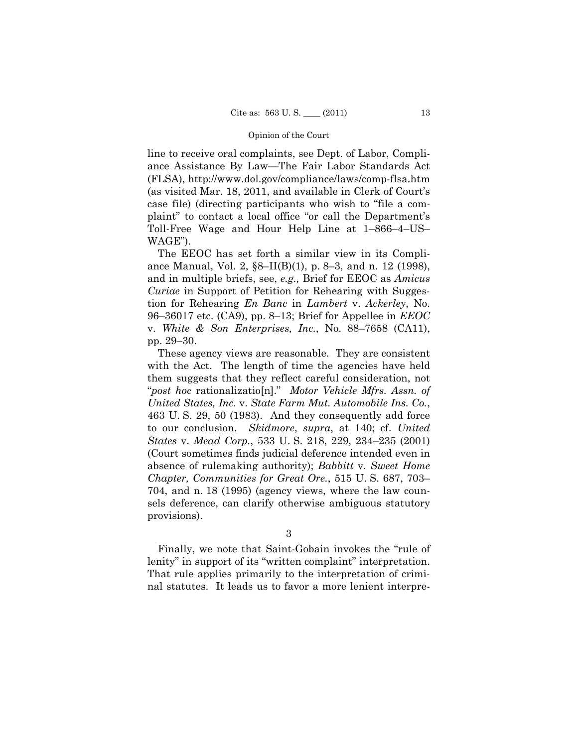line to receive oral complaints, see Dept. of Labor, Compliance Assistance By Law—The Fair Labor Standards Act (FLSA), http://www.dol.gov/compliance/laws/comp-flsa.htm (as visited Mar. 18, 2011, and available in Clerk of Court's case file) (directing participants who wish to "file a complaint" to contact a local office "or call the Department's Toll-Free Wage and Hour Help Line at 1–866–4–US– WAGE").

 The EEOC has set forth a similar view in its Compliance Manual, Vol. 2, §8–II(B)(1), p. 8–3, and n. 12 (1998), and in multiple briefs, see, *e.g.,* Brief for EEOC as *Amicus Curiae* in Support of Petition for Rehearing with Suggestion for Rehearing *En Banc* in *Lambert* v. *Ackerley*, No. 96–36017 etc. (CA9), pp. 8–13; Brief for Appellee in *EEOC* v. *White & Son Enterprises, Inc.*, No. 88–7658 (CA11), pp. 29–30.

 These agency views are reasonable. They are consistent with the Act. The length of time the agencies have held them suggests that they reflect careful consideration, not "*post hoc* rationalizatio[n]." *Motor Vehicle Mfrs. Assn. of United States, Inc.* v. *State Farm Mut. Automobile Ins. Co.*, 463 U. S. 29, 50 (1983). And they consequently add force to our conclusion. *Skidmore*, *supra*, at 140; cf. *United States* v. *Mead Corp.*, 533 U. S. 218, 229, 234–235 (2001) (Court sometimes finds judicial deference intended even in absence of rulemaking authority); *Babbitt* v. *Sweet Home Chapter, Communities for Great Ore.*, 515 U. S. 687, 703– 704, and n. 18 (1995) (agency views, where the law counsels deference, can clarify otherwise ambiguous statutory provisions).

3

 Finally, we note that Saint-Gobain invokes the "rule of lenity" in support of its "written complaint" interpretation. That rule applies primarily to the interpretation of criminal statutes. It leads us to favor a more lenient interpre-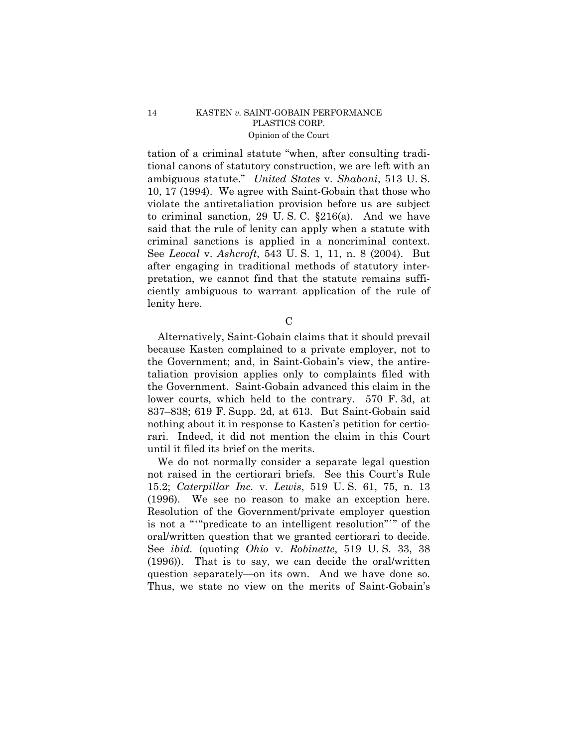tation of a criminal statute "when, after consulting traditional canons of statutory construction, we are left with an ambiguous statute." *United States* v. *Shabani*, 513 U. S. 10, 17 (1994). We agree with Saint-Gobain that those who violate the antiretaliation provision before us are subject to criminal sanction, 29 U. S. C. §216(a). And we have said that the rule of lenity can apply when a statute with criminal sanctions is applied in a noncriminal context. See *Leocal* v. *Ashcroft*, 543 U. S. 1, 11, n. 8 (2004). But after engaging in traditional methods of statutory interpretation, we cannot find that the statute remains sufficiently ambiguous to warrant application of the rule of lenity here.

C

 Alternatively, Saint-Gobain claims that it should prevail because Kasten complained to a private employer, not to the Government; and, in Saint-Gobain's view, the antiretaliation provision applies only to complaints filed with the Government. Saint-Gobain advanced this claim in the lower courts, which held to the contrary. 570 F. 3d, at 837–838; 619 F. Supp. 2d, at 613. But Saint-Gobain said nothing about it in response to Kasten's petition for certiorari. Indeed, it did not mention the claim in this Court until it filed its brief on the merits.

 We do not normally consider a separate legal question not raised in the certiorari briefs. See this Court's Rule 15.2; *Caterpillar Inc.* v. *Lewis*, 519 U. S. 61, 75, n. 13 (1996). We see no reason to make an exception here. Resolution of the Government/private employer question is not a "'"predicate to an intelligent resolution"'" of the oral/written question that we granted certiorari to decide. See *ibid.* (quoting *Ohio* v. *Robinette*, 519 U. S. 33, 38 (1996)). That is to say, we can decide the oral/written question separately—on its own. And we have done so. Thus, we state no view on the merits of Saint-Gobain's